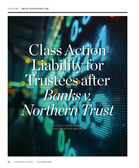# Class Action Liability for Trustees after *Banks v. Northern Trust*

BY PAUL CHMIELEWSKI AND COURTNEY KELLEY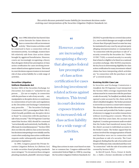*This article discusses potential trustee liability for investment decisions under evolving court interpretations of the Securities Litigation Uniform Standards Act.* 

<span id="page-1-0"></span>ince 1998, federal law has barred class<br>action lawsuits for claims shown to<br>have a connection with an investment<br>activity.<sup>1</sup> Most trustee activities could<br>be construed to have a connection with an ince 1998, federal law has barred class action lawsuits for claims shown to have a connection with an investment activity.<sup>1</sup> Most trustee activities could investment activity. Accordingly, trustees have felt relatively safe from class action claims brought by aggrieved beneficiaries. However, courts are increasingly recognizing a theory that abrogates federal law preemption of class action certification for cases involving investment-related actions against trustees. This trend in court decisions exposes trustees to increased risk of class action liability for a wide range of activities.

### Securities Litigation Uniform Standards Act

Section 10(b) of the Securities Exchange Act (Securities Act) makes it "unlawful for any person . . . [t]o use or employ, in connection with the purchase or sale of any security . . . any manipulative or deceptive device or contrivance in contravention of such rules and regulations as the [Securities and Exchange Commission] may prescribe. . . ." The Securities Exchange Commission (SEC) promulgated Rule 10b-5, which broadly prohibits any deceptive device or fraud "in connection with the purchase or sale of any security."<sup>2</sup> The US Supreme Court has stated that Section 10(b) should be construed "not technically and restrictively, but flexibly, to effectuate its remedial purposes."[3](#page-5-0) Section 10(b) does not directly address class action lawsuits, but decisions interpreting it were initially used by courts when analyzing class action certification requests under subsequently enacted federal preemption legislation[.4](#page-5-0)

In 1995, Congress passed the Private Securities Litigation Reform Act (Reform Act) to make securities fraud pleading standards more stringent.<sup>5</sup> To circumvent these stringent pleading standards, plaintiffs' attorneys began

# "

However, courts are increasingly recognizing a theory that abrogates federal law preemption of class action certification for cases involving investmentrelated actions against trustees. This trend in court decisions exposes trustees to increased risk of class action liability for a wide range of activities.

### ,,

filing class actions in state court based on state law or common law. Congress addressed this unintended federal flight in 1998 by enacting the Securities Litigation Uniform Standards Act (SLUSA[\)6](#page-5-0) to provide that no covered class action (i.e., one in which damages are sought on behalf of more than 50 people) based on state law may be maintained in any court by any private party alleging misrepresentation or manipulation "in connection with the purchase or sale of" a security covered by the Securities Act.<sup>7</sup> Under 15 USC 77r(b), a covered security is a security that is listed or eligible to be listed on a national securities exchange. After SLUSA's enactment, the key focus in determining eligibility for class action certification for many investment-related claims has been interpreting which activities are "in connection with the purchase or sale of" a covered security.

### Evolving SLUSA Case Law

In *Securities and Exchange Commission v. Zandford*, the US Supreme Court interpreted the Section 10(b) coverage requirement that actions must be in connection with the purchase or sale of a security.[8](#page-5-0) In *Zandford*, an elderly client opened a joint account for the client and the client's disabled daughter. The broker promised to invest the account in a conservative manner. The client gave the broker discretion to manage the account and provided the broker a power of attorney to engage in securities transactions without receiving prior consent. When the client died four years later, the account was depleted. A routine government audit revealed that the broker had transferred money from the client's account to individual accounts in the broker's name. The broker argued that his actions involved the misappropriation of funds and therefore were not in connection with the purchase or sale of a security. The Court disagreed, finding that the sale of securities and breach of fiduciary duty coincided and thus were "in connection" with the sale of securities and covered by Section 10(b).[9](#page-5-0)

In *Merrill Lynch, Pierce, Fenner & Smith, Inc. v. Dabit*, a former stockbroker at Merrill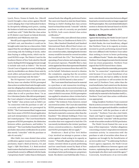<span id="page-2-0"></span>Lynch, Pierce, Fenner & Smith, Inc. (Merrill Lynch) brought a class action against Merrill Lynch alleging that it had defrauded brokers by deceptively inflating stock prices, causing the brokers to hold onto stocks they otherwise would have sold[.10](#page-5-0) Dabit filed the class action in US district court based on federal diversity jurisdiction and Oklahoma state law.

Merrill Lynch argued that SLUSA preempted Dabit's suit, and therefore it could not be brought under state law as a class action. Dabit argued that the suit alleged misrepresentation concerning only the holding of stocks, rather than buying or selling stocks, which was beyond SLUSA's scope. The District Court for the Southern District of New York ruled for Merrill Lynch, finding SLUSA's language broad enough to include suits such as Dabit's.<sup>11</sup> The Second Circuit Court of Appeals reversed, holding that suits by stockholders are distinct from suits by stock sellers and purchasers and that SLUSA was meant to preempt only the latter.<sup>[12](#page-5-0)</sup>

The US Supreme Court took up the case. The key issue was whether SLUSA preempted class action securities fraud suits brought under state law alleging that misleading statements or omissions induced brokers to hold securities rather than to sell or purchase them.<sup>[13](#page-5-0)</sup> In an 8-to-0 decision (Justice Alito did not participate), the Court adopted a broad reading of SLUSA that "holder" class actions such as Dabit's are "in connection with the purchase or sale" of a security and therefore are preempted by SLUSA[.14](#page-5-0) The Court reasoned that Congress must have been aware of SLUSA's broad application and such interpretation is consistent with the law's stated purpose[.15](#page-5-0) The Court found that for purposes of SLUSA preemption, the distinction between sellers, purchasers, and holders "is irrelevant.["16](#page-5-0) The Court further found that SLUSA precludes class action certification for an action that merely "coincides" with the purchase or sale of a security.<sup>17</sup>

After *Dabit*, two cases denied class action certification against trustees based on SLUSA preclusion, *Siepel v. Bank of America, NA*, and *Segal v. Fifth Third Bank*, *N.A*. Both involved bank trustees that had invested trust accounts in mutual funds owned or affiliated with the banks ("proprietary funds") rather than in third party

mutual funds that allegedly performed better. The cases were based on state law fraud claims. Relying on *Dabit*'s finding that class actions based on fraud that merely "coincide" with the purchase or sale of a security are precluded by SLUSA, both courts denied class action certification<sup>18</sup>

Two noteworthy cases allowed class actions to proceed. First, in *Chadbourne & Parke LLP v. Troice*, Allen Stanford (Stanford) and Stanford International Bank offered fixed return certificates of deposit (CDs), which are typically non-covered securities, claiming that the investor money would be invested in covered securities that would back the CDs.<sup>[19](#page-5-0)</sup> But Stanford was operating a Ponzi scheme and using the money for personal expenses. Plaintiffs filed a class action against law firms that represented Stanford and third-party investment firms that sold CDs on his behalf. Defendants moved to dismiss the complaints, arguing that the securities supposedly backing the CDs were covered securities, so SLUSA barred a class action.<sup>[20](#page-5-0)</sup>

The Court stated that fraud must be material to a purchase or sale transaction involving a covered security, not an uncovered security (e.g., CDs)[.21](#page-5-0) Additionally, the Court noted that in all cases of which it was aware, SLUSA preemption was applied to situations where victims had or had tried to obtain an ownership in covered securities[.22](#page-5-0) The victims in *Troice*, however*,* owned uncovered securities. The Court also stated that SLUSA preemption only applies to fraudulent transactions involving covered securities when the fraud is material to someone other than the fraudster.[23](#page-5-0) The ultimate holding in *Troice* was that any fraud regarding the nonexistent covered securities that were supposed to back the CDs was merely incidental to the victims' purchase of non-covered securities (i.e., Stanford's CDs) and SLUSA preemption did not apply.[24](#page-5-0)

*Henderson v. Bank of New York Mellon Corp.* involved an attempt to pursue a class action against a bank acting in its capacity as trustee.[25](#page-5-0) Plaintiffs alleged that defendant, as trustee, invested clients in poorly performing and low-rated funds owned by Bank of New York Mellon Corp. and its affiliates rather than investing in better performing non-proprietary funds. The district court held that after *Troice*, a mere coincidental connection between alleged fraud and a covered security no longer supported SLUSA preemption. The court denied defendant's motion to dismiss the lawsuit based on SLUSA preemption. The parties settled in 2019.

### Banks v. Northern Trust

Against this backdrop, the Ninth Circuit Court of Appeals decided *Banks v. Northern Trust Corp.*, in which Banks, the trust beneficiary, alleged that Northern Trust, in its capacity as trustee, invested in poorly performing mutual funds that were affiliated with Northern Trust rather than seeking to invest in better performing non-affiliated funds[.26](#page-5-0) Banks also alleged that Northern Trust charged excessive fees for internal trust tax return preparation. Northern Trust argued that SLUSA barred these claims.

Banks argued that the materiality prerequisite for the "in connection" requirement did not exist because (1) as a mere beneficiary of an irrevocable trust, she had no ability to decide whether to purchase or sell securities for the trust; and (2) Northern Trust, rather than the trust beneficiaries, had control over the decision to purchase or sell securities for the trust. Given this fact, Banks argued that the fraudulent actions would only be material to the fraudster itself (i.e., Northern Trust) and class action certification was appropriate.

Citing *Zandford*, Northern Trust countered that its actions as trustee were no different than the actions of an agent and should be considered "in connection" with the purchase or sale of a security[.27](#page-5-0) Northern Trust also cited *Dabit*, *Siepel*, and *Segal* to support its argument that fraud that merely "coincides" with the purchase or sale of securities results in SLUSA preclusion.

The Ninth Circuit framed the case as an issue of first impression: "whether allegations concerning a trustee's imprudent investments constitute activity 'in connection with' the purchase or sale of securities when those allegations are brought by the beneficiaries of an irrevocable trust.["28](#page-5-0) In addressing Northern Trust's agency argument, the Ninth Circuit analyzed the differences between agents and trustees, explaining that agents are controlled by principals who direct and control the agent.<sup>[29](#page-5-0)</sup> Conversely, beneficiaries of an irrevocable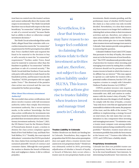<span id="page-3-0"></span>trust have no control over the trustee's actions and cannot unilaterally direct the trustee with respect to investments[.30](#page-5-0) The Ninth Circuit held that there was no fraud with respect to the trust beneficiary "in connection" with the "purchase or sale of a covered security" because Banks had no ability to direct or otherwise compel investment decisions.<sup>31</sup>

The Ninth Circuit acknowledged that under *Dabit*, alleged fraud that coincides with a securities transaction meets the "in connection" requirement for SLUSA preemption but added that *Troice* clarified *Dabit* and required the fraud to be material to the decision to buy or sell a security to meet the "in connection" requirement[.32](#page-5-0) Further, under *Troice*, fraud must be material to someone other than the fraudster to qualify as "in connection" with the purchase or sale of a covered security.<sup>33</sup> The Ninth Circuit held that Northern Trust was the only party with authority to trade based on the fraudulent activity, and because it was also the "fraudster," SLUSA preemption did not apply under *Troice*. [34](#page-5-0) The dismissal of the putative class action was reversed and the case was remanded for further proceedings.

### *What About Discretionary Investment Authority?*

The successful class action certifications cited above involve trustees with full investment authority rather than simply discretionary investment authority. But a recent opinion marks, to the authors' knowledge, the first class action certification for investments into proprietary funds by individual investors who provided their investment advisor with discretionary investment authority. On June 7, 2021, the US District Court for the Western District of Pennsylvania denied, in part, a motion to dismiss the class action complaint against Bank of New York Mellon Corp. and Bank New York Mellon, N.A.<sup>35</sup> Notably, the court rejected defendants' contention that SLUSA precluded the class claims from moving forward, and it sustained plaintiffs' breach of contract and consumer claims. Although the court granted the motion to dismiss the breach of fiduciary duty and negligence claims, it did so without prejudice.

# "

Nevertheless, it is clear that trustees may have reason to no longer feel confident in claiming their actions relate to their investment activities and are, therefore, not subject to class action liability under SLUSA. This leaves open what actions give rise to trustee liability when trustees invest and manage trust assets in Colorado.

## ,,

### Trustee Liability in Colorado

Neither *Henderson* nor *Banks* are binding law in Colorado. Nonetheless, they support the proposition that SLUSA class action preemption does not apply when a trustee invests trust assets in its own proprietary funds[.36](#page-5-0)*Henderson* was ultimately settled in 2019, preventing adjudication of whether a breach of loyalty or breach of fiduciary duty occurs when a trustee uses its own proprietary funds as trust investments. *Banks* remains pending, and the preliminary issue of whether SLUSA barred the claim as a class action was only recently decided. Nevertheless, it is clear that trustees may have reason to no longer feel confident in claiming their actions relate to their investment activities and are, therefore, not subject to class action liability under SLUSA. This leaves open what actions give rise to trustee liability when trustees invest and manage trust assets in Colorado. State statutes provide some guidance in answering this question.

Colorado's Uniform Trust Code (CUTC) states that pursuant to its duty of loyalty, the trustee must act in the best interests of trust beneficiaries[.37](#page-5-0) The CUTC simultaneously provides a layer of protection for trustees when investing and managing trust assets by stating that a conflict of interest should not be presumed when a trustee invests in funds in which the trustee or its affiliate has an interest.<sup>38</sup> This may appear to operate as a safe harbor for trustees with a potential conflict of interest, but the CUTC also requires a trustee to comply with Colorado's Uniform Prudent Investor Act (CUPIA)[.39](#page-5-0) 

CUPIA's prudent investor rule requires trustees to invest and manage trust assets using reasonable care, skill, and caution in conformance with the trustee's duty of loyalty.[40](#page-5-0) The rule also discusses the dangers of self-dealing.<sup>[41](#page-5-0)</sup> To comply with the duty of loyalty, a trustee "may only incur costs that are appropriate and reasonable in relation to the assets, the purposes of the trust, and the skills of the trustee."[42](#page-5-0) In addition to implementing a strategy focused on total return, the rule states that cost minimization is a key component when investing and managing trust assets[.43](#page-5-0) To minimize costs, a trustee must compare costs among similar investment options being considered for a trust portfolio.[44](#page-5-0) Therefore, trustees must select an investment portfolio that yields the best returns at the lowest cost.<sup>[45](#page-5-0)</sup> Trustees who follow the CUTC and CUPIA have a liability shield.

### Proprietary Investments

Colorado law does not prohibit trustee use of proprietary funds, but investments must be in the trust beneficiaries' best interests. In determining beneficiaries' best interests, the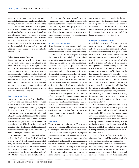<span id="page-4-0"></span>trustee must evaluate both the performance and cost of using proprietary funds relative to investing in non-affiliated funds. Based on the CUTC and prudent investor rule, it appears that a trustee violates its fiduciary duty if it uses proprietary funds and the returns underperform non-affiliated funds or if the cost of using proprietary funds exceeds the additional benefit, if any, realized from the use of such proprietary funds. Where the use of proprietary funds results in both underperformance and additional cost, a case for trustee liability appears viable.

### Other Proprietary Services

*Banks* touched on proprietary trustee tax preparation services that were alleged to be violations of fiduciary duty, though the main focus of the case was whether class action certification was warranted due to the trustee's use of proprietary funds. Regardless, the trend away from SLUSA preemption for trustees raises whether other proprietary trustee services, including tax preparation, oil and gas management, real estate management services, and management of closely held business assets could result in trustee liability.

### *Tax Preparation Fees*

One of the allegations in *Banks* was that Northern Trust had transformed its tax services to create a new profit center for the bank by charging an additional \$900 annually to prepare the trust tax returns.<sup>46</sup> Previously, Northern Trust's trust tax return preparation fee had allegedly been part of the standard trustee fee assessed against trust assets[.47](#page-5-0) While an annual trust tax return preparation fee of \$900 is not excessive per se, if Northern Trust switched from including this fee as part of the standard trustee fee to charging it as an additional fee, it could have potential liability.

In *Henderson v. Bank of New York Mellon, N.A.*, plaintiffs alleged that Bank of New York Mellon, N.A. (BNY Mellon), as trustee, started using an outside tax firm to prepare its trust tax returns and passed to the trust the cost of the outside tax preparer and a mark-up fee.<sup>[48](#page-5-0)</sup> The court certified the case as a class action.<sup>[49](#page-5-0)</sup> BNY Mellon settled the case for \$10 million.

It is common for trustees to offer trust tax preparation services for a relatively reasonable fee because they can access the tax information efficiently. By itself, charging a fee for tax return preparation is not a breach of fiduciary duty. But if the fees charged are excessive or undisclosed, or the service is substandard, trustee liability may result.

### *Oil and Gas Management*

Oil and gas management can potentially generate substantial revenue for a trust. Some trustees manage oil and gas interests internally, while others hire external managers to manage the assets on the client's behalf. The standard corporate trustee fee schedule for managing oil and gas interests is based on a percentage of the assets managed. This practice raises two significant issues for trustees. First, trustees must pay attention to the percentage fees they charge relative to those charged by third-party professional oil and gas managers. Because a trustee is required to act in the best interests of the trust beneficiaries, a trustee may not charge a higher fee than a third party professional simply because it chooses to manage the oil and gas interests internally. Second, trustees that use outside managers must be careful to (1) pass on only the outside manager's costs rather than charging a percentage that greatly exceeds the outside manager's actual charges, and/or (2) assess a markup fee that is justified by the trustee's oversight responsibilities. Based on *Henderson*, an unjustified and undocumented markup may be considered a breach of fiduciary duty.

### *Real Estate*

There are many potential layers of fees when a trust owns real estate. Many trustees charge a percentage fee based on the value of real estate a trust holds. The trustee may also hire property managers to oversee and manage the property. Property management fees may or may not be included in the standard trustee management fee for the property. When buying or selling trust owned real estate, many trustees charge an additional fee, usually 2 to 5% of the value of the property being bought or sold, which is intended to compensate the trustee for the

additional services it provides in the sales process (e.g., reviewing the contract, overseeing due diligence, etc.). Realtor fees are added to the trustee's fees. The authors are unaware of litigation involving trustee real estate fees, but it is reasonable to foresee a potential claim based on excessive real estate fees.

### *Closely Held Business Assets*

Closely held businesses (CHBs) are owned or controlled by a family rather than by a vast collection of individual shareholders. While CHBs are often incorrectly thought of as small businesses, they can have significant revenue and are increasingly being transferred into trusts for estate planning purposes. Typically, partial interests in CHBs are transferred to future generations while the company's founder is still alive and running the business. This practice may lead to conflict between the founder and the trustee. For example, because the founder continues to run the business, the founder often believes that the trustee does not have any real responsibilities with respect to the business and should therefore be entitled to minimal fees. However, trustees bear responsibility for regulatory compliance and ensuring that the business is properly functioning and continues to be a prudent investment for the trust, even if the trust owns a minority interest.

Trustees must justify fees for CHBs like they do for any other asset. But a standard percentage fee based on the value of the underlying CHB asset may be difficult, given the trustee's unique duties in holding a minority interest as opposed to a majority interest. Even a trustee holding a majority interest will likely not directly manage the business on a day-to-day basis. Instead, the founder will likely operate the business with a third party taking over management on the founder's death.

Charges for CHB fees, as for other fees discussed above, should be handled prudently, with trustees monitoring whether the fees charged are comparable to those that an outside business management firm would provide, whether there are excessive markups over outside consultant fees, and whether the overall services provided to the trust are reasonable.